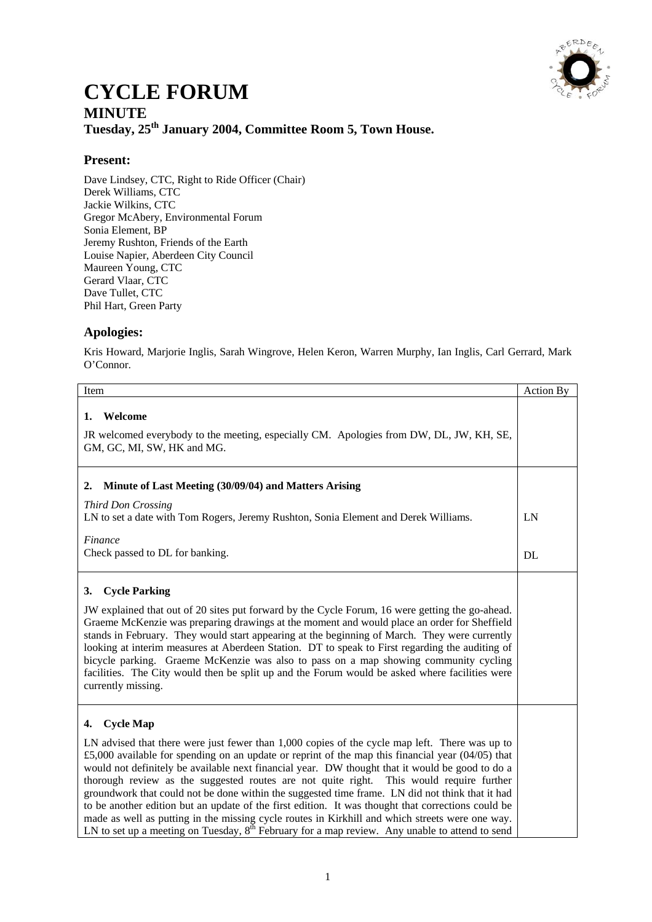

## **CYCLE FORUM MINUTE Tuesday, 25th January 2004, Committee Room 5, Town House.**

## **Present:**

Dave Lindsey, CTC, Right to Ride Officer (Chair) Derek Williams, CTC Jackie Wilkins, CTC Gregor McAbery, Environmental Forum Sonia Element, BP Jeremy Rushton, Friends of the Earth Louise Napier, Aberdeen City Council Maureen Young, CTC Gerard Vlaar, CTC Dave Tullet, CTC Phil Hart, Green Party

## **Apologies:**

Kris Howard, Marjorie Inglis, Sarah Wingrove, Helen Keron, Warren Murphy, Ian Inglis, Carl Gerrard, Mark O'Connor.

| Item                                                                                                                                                                                                                                                                                                                                                                                                                                                                                                                                                                                                                                                                                                                                                                                                                                             | <b>Action By</b> |
|--------------------------------------------------------------------------------------------------------------------------------------------------------------------------------------------------------------------------------------------------------------------------------------------------------------------------------------------------------------------------------------------------------------------------------------------------------------------------------------------------------------------------------------------------------------------------------------------------------------------------------------------------------------------------------------------------------------------------------------------------------------------------------------------------------------------------------------------------|------------------|
| Welcome<br>1.<br>JR welcomed everybody to the meeting, especially CM. Apologies from DW, DL, JW, KH, SE,<br>GM, GC, MI, SW, HK and MG.                                                                                                                                                                                                                                                                                                                                                                                                                                                                                                                                                                                                                                                                                                           |                  |
| Minute of Last Meeting (30/09/04) and Matters Arising<br>2.                                                                                                                                                                                                                                                                                                                                                                                                                                                                                                                                                                                                                                                                                                                                                                                      |                  |
| Third Don Crossing<br>LN to set a date with Tom Rogers, Jeremy Rushton, Sonia Element and Derek Williams.                                                                                                                                                                                                                                                                                                                                                                                                                                                                                                                                                                                                                                                                                                                                        | LN               |
| Finance<br>Check passed to DL for banking.                                                                                                                                                                                                                                                                                                                                                                                                                                                                                                                                                                                                                                                                                                                                                                                                       | DL               |
| <b>Cycle Parking</b><br>3.<br>JW explained that out of 20 sites put forward by the Cycle Forum, 16 were getting the go-ahead.<br>Graeme McKenzie was preparing drawings at the moment and would place an order for Sheffield<br>stands in February. They would start appearing at the beginning of March. They were currently<br>looking at interim measures at Aberdeen Station. DT to speak to First regarding the auditing of<br>bicycle parking. Graeme McKenzie was also to pass on a map showing community cycling<br>facilities. The City would then be split up and the Forum would be asked where facilities were<br>currently missing.                                                                                                                                                                                                 |                  |
| <b>Cycle Map</b><br>4.<br>LN advised that there were just fewer than 1,000 copies of the cycle map left. There was up to<br>£5,000 available for spending on an update or reprint of the map this financial year $(04/05)$ that<br>would not definitely be available next financial year. DW thought that it would be good to do a<br>thorough review as the suggested routes are not quite right.<br>This would require further<br>groundwork that could not be done within the suggested time frame. LN did not think that it had<br>to be another edition but an update of the first edition. It was thought that corrections could be<br>made as well as putting in the missing cycle routes in Kirkhill and which streets were one way.<br>LN to set up a meeting on Tuesday, $8th$ February for a map review. Any unable to attend to send |                  |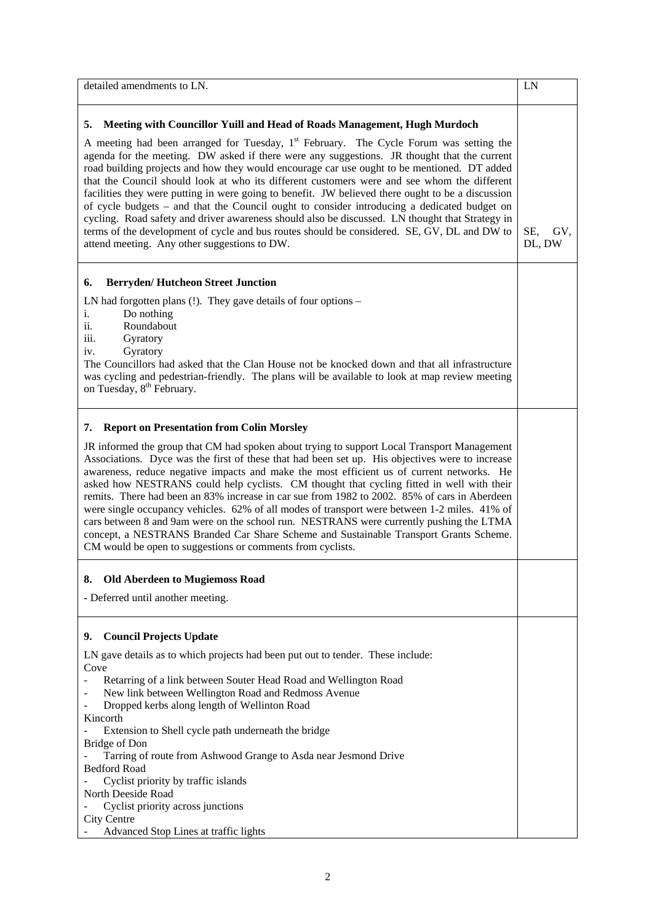| detailed amendments to LN.                                                                                                                                                                                                                                                                                                                                                                                                                                                                                                                                                                                                                                                                                                                                                                                                                                                                                                                                                                | LN                   |
|-------------------------------------------------------------------------------------------------------------------------------------------------------------------------------------------------------------------------------------------------------------------------------------------------------------------------------------------------------------------------------------------------------------------------------------------------------------------------------------------------------------------------------------------------------------------------------------------------------------------------------------------------------------------------------------------------------------------------------------------------------------------------------------------------------------------------------------------------------------------------------------------------------------------------------------------------------------------------------------------|----------------------|
| 5.<br>Meeting with Councillor Yuill and Head of Roads Management, Hugh Murdoch<br>A meeting had been arranged for Tuesday, 1 <sup>st</sup> February. The Cycle Forum was setting the<br>agenda for the meeting. DW asked if there were any suggestions. JR thought that the current<br>road building projects and how they would encourage car use ought to be mentioned. DT added<br>that the Council should look at who its different customers were and see whom the different<br>facilities they were putting in were going to benefit. JW believed there ought to be a discussion<br>of cycle budgets – and that the Council ought to consider introducing a dedicated budget on<br>cycling. Road safety and driver awareness should also be discussed. LN thought that Strategy in<br>terms of the development of cycle and bus routes should be considered. SE, GV, DL and DW to<br>attend meeting. Any other suggestions to DW.<br><b>Berryden/Hutcheon Street Junction</b><br>6. | SE.<br>GV.<br>DL, DW |
| LN had forgotten plans $(!)$ . They gave details of four options –<br>Do nothing<br>1.<br>Roundabout<br>11.<br>iii.<br>Gyratory<br>Gyratory<br>iv.<br>The Councillors had asked that the Clan House not be knocked down and that all infrastructure<br>was cycling and pedestrian-friendly. The plans will be available to look at map review meeting<br>on Tuesday, 8 <sup>th</sup> February.                                                                                                                                                                                                                                                                                                                                                                                                                                                                                                                                                                                            |                      |
| <b>Report on Presentation from Colin Morsley</b><br>7.<br>JR informed the group that CM had spoken about trying to support Local Transport Management<br>Associations. Dyce was the first of these that had been set up. His objectives were to increase<br>awareness, reduce negative impacts and make the most efficient us of current networks. He<br>asked how NESTRANS could help cyclists. CM thought that cycling fitted in well with their<br>remits. There had been an 83% increase in car sue from 1982 to 2002. 85% of cars in Aberdeen<br>were single occupancy vehicles. 62% of all modes of transport were between 1-2 miles. 41% of<br>cars between 8 and 9am were on the school run. NESTRANS were currently pushing the LTMA<br>concept, a NESTRANS Branded Car Share Scheme and Sustainable Transport Grants Scheme.<br>CM would be open to suggestions or comments from cyclists.                                                                                      |                      |
| <b>Old Aberdeen to Mugiemoss Road</b><br>8.<br>- Deferred until another meeting.                                                                                                                                                                                                                                                                                                                                                                                                                                                                                                                                                                                                                                                                                                                                                                                                                                                                                                          |                      |
| <b>Council Projects Update</b><br>9.<br>LN gave details as to which projects had been put out to tender. These include:<br>Cove<br>Retarring of a link between Souter Head Road and Wellington Road<br>New link between Wellington Road and Redmoss Avenue<br>Dropped kerbs along length of Wellinton Road<br>Kincorth<br>Extension to Shell cycle path underneath the bridge<br>Bridge of Don<br>Tarring of route from Ashwood Grange to Asda near Jesmond Drive<br><b>Bedford Road</b><br>Cyclist priority by traffic islands<br>North Deeside Road<br>Cyclist priority across junctions<br><b>City Centre</b><br>Advanced Stop Lines at traffic lights                                                                                                                                                                                                                                                                                                                                 |                      |